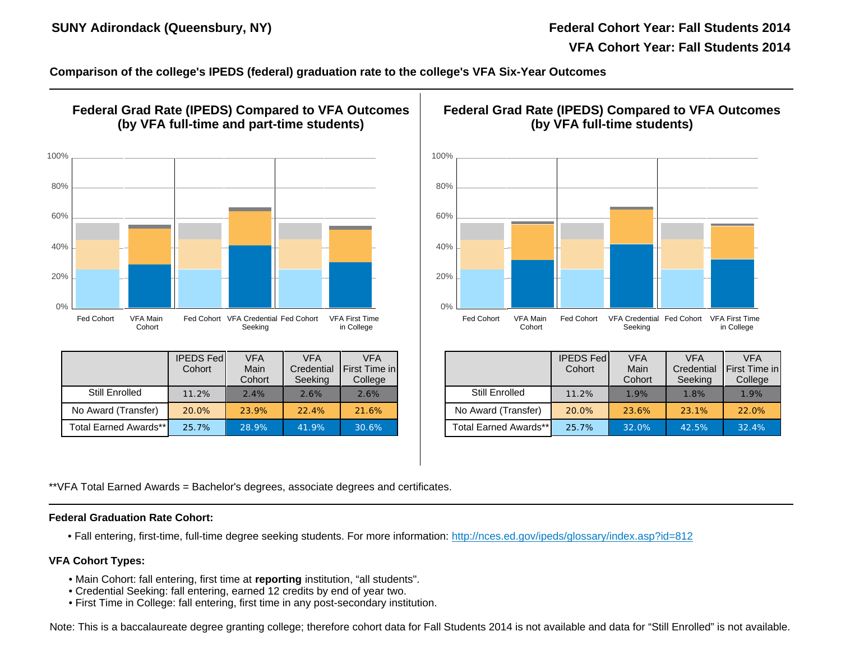SUNY Adirondack (Queensbury, NY) Federal Cohort Year: Federal Cohort Year: Factor: Factor: Factor: Factor: Factor: Factor: Factor: Factor: Factor: Factor: Factor: Factor: Factor: Factor: Factor: Factor: Factor: Factor: Fac

VFA Cohort Yo

Comparison of the college's IPEDS (federal) graduation rate to the college's VFA Six-Year Outcomes

| Federal Grad Rate (IPEDS) Compared to VFA Outcomes<br>(by VFA full-time and part-time students) |                            |                                                 |                                     |                                        |  | Federal Grad Rate (IPEDS) Compare<br>(by VFA full-time stud |                           |                            |                              |  |
|-------------------------------------------------------------------------------------------------|----------------------------|-------------------------------------------------|-------------------------------------|----------------------------------------|--|-------------------------------------------------------------|---------------------------|----------------------------|------------------------------|--|
|                                                                                                 |                            |                                                 |                                     |                                        |  |                                                             |                           |                            |                              |  |
|                                                                                                 |                            |                                                 |                                     |                                        |  |                                                             |                           |                            |                              |  |
|                                                                                                 |                            |                                                 |                                     |                                        |  |                                                             |                           |                            |                              |  |
|                                                                                                 |                            |                                                 |                                     |                                        |  |                                                             |                           |                            |                              |  |
| Fed Cohort<br><b>VFA Main</b><br>Cohort                                                         |                            | Fed Cohort VFA Credential Fed Cohort<br>Seeking |                                     | <b>VFA First Time</b><br>in College    |  | Fed Cohort                                                  | <b>VFA Main</b><br>Cohort | Fed Cohort                 | <b>VFA Creden</b><br>Seeking |  |
|                                                                                                 | <b>IPEDS Fed</b><br>Cohort | <b>VFA</b><br>Main<br>Cohort                    | <b>VFA</b><br>Credential<br>Seeking | <b>VFA</b><br>First Time in<br>College |  |                                                             |                           | <b>IPEDS Fed</b><br>Cohort | <b>VFA</b><br>Main<br>Cohor  |  |
| Still Enrolled                                                                                  | 11.2%                      | 2.4%                                            | 2.6%                                | 2.6%                                   |  | Still Enrolled                                              |                           | 11.2%                      | 1.9%                         |  |
| No Award (Transfer)                                                                             | 20.0%                      | 23.9%                                           | 22.4%                               | 21.6%                                  |  | No Award (Transfer)                                         |                           | 20.0%                      | 23.6%                        |  |
| Total Earned Awards**                                                                           | 25.7%                      | 28.9%                                           | 41.9%                               | 30.6%                                  |  | Total Earned Awards**                                       |                           | 25.7%                      | 32.0%                        |  |

\*\*VFA Total Earned Awards = Bachelor's degrees, associate degrees and certificates.

Federal Graduation Rate Cohort:

• Fall entering, first-time, full-time degree seeking students. For more information: http://nces.ed.gov/ipeds/glossary/index.as

VFA Cohort Types:

- Main Cohort: fall entering, first time at reporting institution, "all students".
- Credential Seeking: fall entering, earned 12 credits by end of year two.
- First Time in College: fall entering, first time in any post-secondary institution.

Note: This is a baccalaureate degree granting college; therefore cohort data for Fall Students 2014 is not available and data for '